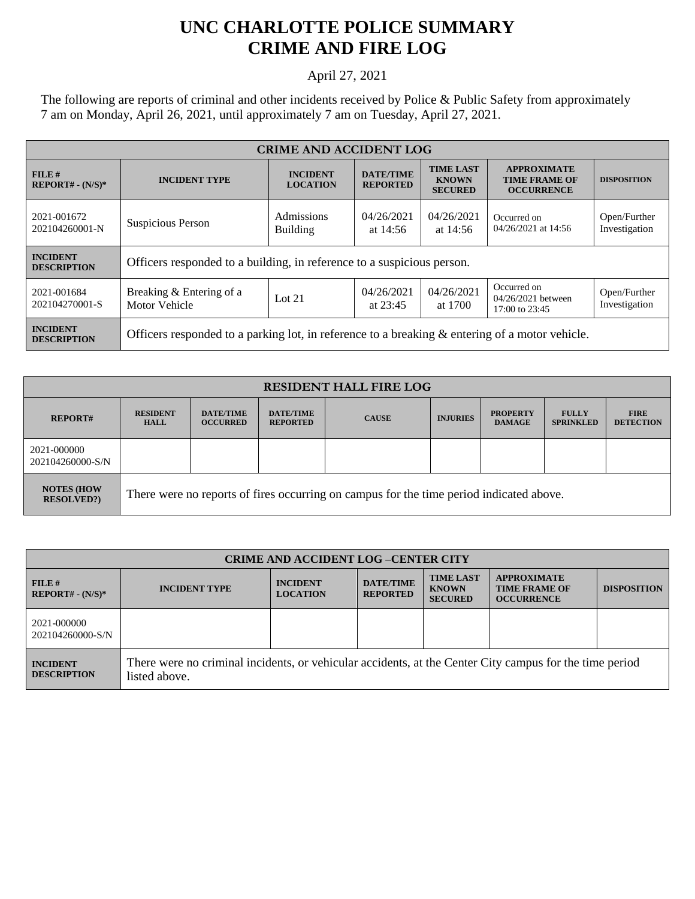## **UNC CHARLOTTE POLICE SUMMARY CRIME AND FIRE LOG**

## April 27, 2021

The following are reports of criminal and other incidents received by Police & Public Safety from approximately 7 am on Monday, April 26, 2021, until approximately 7 am on Tuesday, April 27, 2021.

| <b>CRIME AND ACCIDENT LOG</b>         |                                                                                                   |                                    |                                     |                                                    |                                                                 |                               |  |
|---------------------------------------|---------------------------------------------------------------------------------------------------|------------------------------------|-------------------------------------|----------------------------------------------------|-----------------------------------------------------------------|-------------------------------|--|
| FILE#<br>$REPORT# - (N/S)*$           | <b>INCIDENT TYPE</b>                                                                              | <b>INCIDENT</b><br><b>LOCATION</b> | <b>DATE/TIME</b><br><b>REPORTED</b> | <b>TIME LAST</b><br><b>KNOWN</b><br><b>SECURED</b> | <b>APPROXIMATE</b><br><b>TIME FRAME OF</b><br><b>OCCURRENCE</b> | <b>DISPOSITION</b>            |  |
| 2021-001672<br>202104260001-N         | Suspicious Person                                                                                 | Admissions<br><b>Building</b>      | 04/26/2021<br>at $14:56$            | 04/26/2021<br>at $14:56$                           | Occurred on<br>04/26/2021 at 14:56                              | Open/Further<br>Investigation |  |
| <b>INCIDENT</b><br><b>DESCRIPTION</b> | Officers responded to a building, in reference to a suspicious person.                            |                                    |                                     |                                                    |                                                                 |                               |  |
| 2021-001684<br>202104270001-S         | Breaking & Entering of a<br>Motor Vehicle                                                         | Lot $21$                           | 04/26/2021<br>at $23:45$            | 04/26/2021<br>at 1700                              | Occurred on<br>04/26/2021 between<br>17:00 to 23:45             | Open/Further<br>Investigation |  |
| <b>INCIDENT</b><br><b>DESCRIPTION</b> | Officers responded to a parking lot, in reference to a breaking $\&$ entering of a motor vehicle. |                                    |                                     |                                                    |                                                                 |                               |  |

| <b>RESIDENT HALL FIRE LOG</b>         |                                                                                         |                                     |                                     |              |                 |                                  |                                  |                                 |
|---------------------------------------|-----------------------------------------------------------------------------------------|-------------------------------------|-------------------------------------|--------------|-----------------|----------------------------------|----------------------------------|---------------------------------|
| <b>REPORT#</b>                        | <b>RESIDENT</b><br><b>HALL</b>                                                          | <b>DATE/TIME</b><br><b>OCCURRED</b> | <b>DATE/TIME</b><br><b>REPORTED</b> | <b>CAUSE</b> | <b>INJURIES</b> | <b>PROPERTY</b><br><b>DAMAGE</b> | <b>FULLY</b><br><b>SPRINKLED</b> | <b>FIRE</b><br><b>DETECTION</b> |
| 2021-000000<br>202104260000-S/N       |                                                                                         |                                     |                                     |              |                 |                                  |                                  |                                 |
| <b>NOTES (HOW</b><br><b>RESOLVED?</b> | There were no reports of fires occurring on campus for the time period indicated above. |                                     |                                     |              |                 |                                  |                                  |                                 |

| <b>CRIME AND ACCIDENT LOG-CENTER CITY</b> |                                                                                                                          |                                    |                                     |                                                    |                                                                 |                    |
|-------------------------------------------|--------------------------------------------------------------------------------------------------------------------------|------------------------------------|-------------------------------------|----------------------------------------------------|-----------------------------------------------------------------|--------------------|
| FILE#<br>$REPORT# - (N/S)*$               | <b>INCIDENT TYPE</b>                                                                                                     | <b>INCIDENT</b><br><b>LOCATION</b> | <b>DATE/TIME</b><br><b>REPORTED</b> | <b>TIME LAST</b><br><b>KNOWN</b><br><b>SECURED</b> | <b>APPROXIMATE</b><br><b>TIME FRAME OF</b><br><b>OCCURRENCE</b> | <b>DISPOSITION</b> |
| 2021-000000<br>202104260000-S/N           |                                                                                                                          |                                    |                                     |                                                    |                                                                 |                    |
| <b>INCIDENT</b><br><b>DESCRIPTION</b>     | There were no criminal incidents, or vehicular accidents, at the Center City campus for the time period<br>listed above. |                                    |                                     |                                                    |                                                                 |                    |